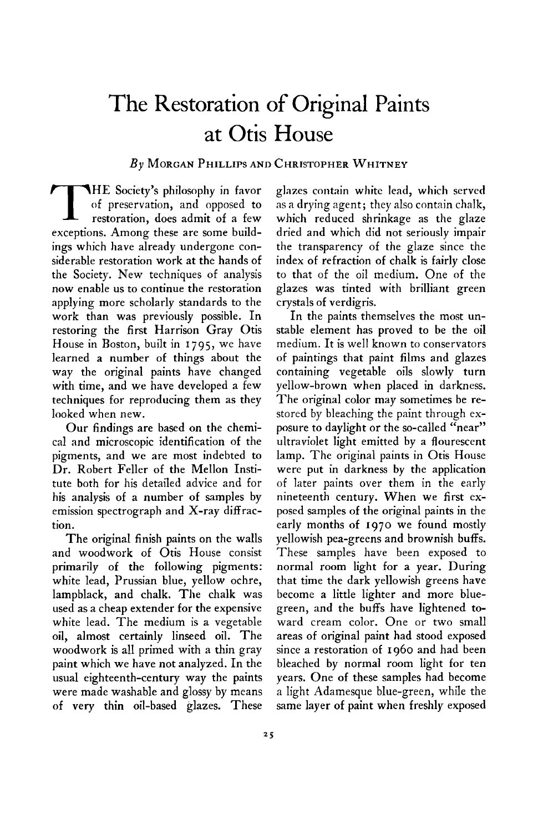## **The Restoration of Original Paints at Otis House**

## **By MORGAN PHILLIPS AND CHRISTOPHER WHITNEY**

**IHE** Society's philosophy in favor of preservation, and opposed to restoration, does admit of a few **of preservation, and opposed to restoration, does admit of a few exceptions. Among these are some buildings which have already undergone considerable restoration work at the hands of the Society. New techniques of analysis now enable us to continue the restoration applying more scholarly standards to the work than was previously possible. In restoring the first Harrison Gray Otis House in Boston, built in 1795, we have learned a number of things about the way the original paints have changed with time, and we have developed a few techniques for reproducing them as they looked when new.** 

**Our findings are based on the chemical and microscopic identification of the pigments, and we are most indebted to Dr. Robert Feller of the Mellon Institute both for his detailed advice and for his analysis of a number of samples by**  emission spectrograph and X-ray diffrac**tion.** 

**The original finish paints on the walls and woodwork of Otis House consist primarily of the following pigments: white lead, Prussian blue, yellow ochre, lampblack, and chalk. The chalk was used as a cheap extender for the expensive white lead. The medium is a vegetable oil, almost certainly linseed oil. The woodwork is all primed with a thin gray paint which we have not analyzed. In the usual eighteenth-century way the paints were made washable and glossy by means of very thin oil-based glazes. These**  **glazes contain white lead, which served as a drying agent; they also contain chalk, which reduced shrinkage as the glaze dried and which did not seriously impair the transparency of the glaze since the index of refraction of chalk is fairly close to that of the oil medium. One of the glazes was tinted with brilliant green crystals of verdigris.** 

**In the paints themselves the most unstable element has proved to be the oil medium. It is well known to conservators of paintings that paint films and glazes containing vegetable oils slowly turn yellow-brown when placed in darkness. The original color may sometimes be restored by bleaching the paint through exposure to daylight or the so-called "near" ultraviolet light emitted by a flourescent lamp. The original paints in Otis House were put in darkness by the application of later paints over them in the early nineteenth century. When we first exposed samples of the original paints in the early months of 1970 we found mostly yellowish pea-greens and brownish buffs. These samples have been exposed to normal room light for a year. During that time the dark yellowish greens have become a little lighter and more bluegreen, and the buffs have lightened toward cream color. One or two small areas of original paint had stood exposed since a restoration of 1960 and had been bleached by normal room light for ten years. One of these samples had become a light Adamesque blue-green, while the same layer of paint when freshly exposed**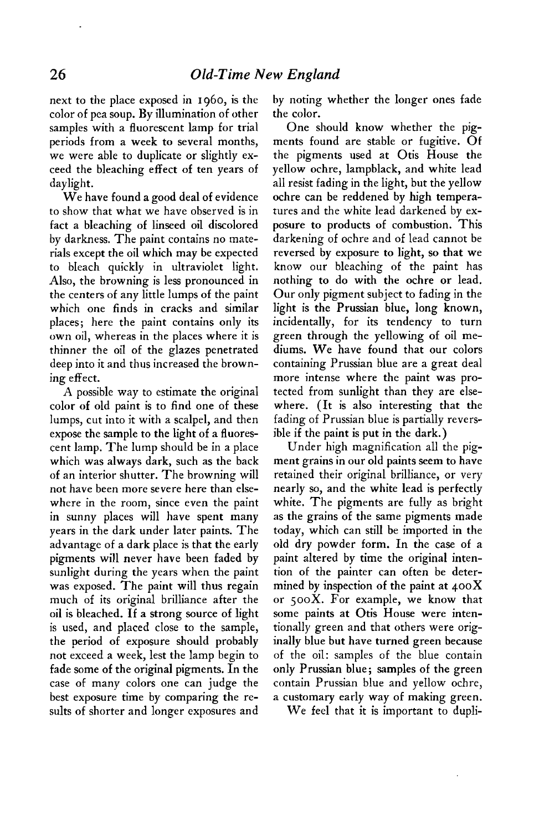**next to the place exposed in 1960, is the color of pea soup. By illumination of other samples with a fluorescent lamp for trial periods from a week to several months, we were able to duplicate or slightly exceed the bleaching effect of ten years of daylight.** 

**We have found a good deal of evidence to show that what we have observed is in fact a bleaching of linseed oil discolored by darkness. The paint contains no materials except the oil which may be expected to bleach quickly in ultraviolet light. Also, the browning is less pronounced in the centers of any little lumps of the paint which one finds in cracks and similar places; here the paint contains only its own oil, whereas in the places where it is thinner the oil of the glazes penetrated deep into it and thus increased the browning effect.** 

**A possible way to estimate the original color of old paint is to find one of these lumps, cut into it with a scalpel, and then expose the sample to the light of a fluorescent lamp. The lump should be in a place which was always dark, such as the back of an interior shutter. The browning will not have been more severe here than elsewhere in the room, since even the paint in sunny places will have spent many years in the dark under later paints. The advantage of a dark place is that the early pigments will never have been faded by sunlight during the years when the paint was exposed. The paint will thus regain much of its original brilliance after the oil is bleached. If a strong source of light is used, and placed close to the sample, the period of exposure should probably not exceed a week, lest the lamp begin to fade some of the original pigments. In the case of many colors one can judge the best exposure time by comparing the results of shorter and longer exposures and**  **by noting whether the longer ones fade the color.** 

**One should know whether the pigments found are stable or fugitive. Of the pigments used at Otis House the yellow ochre, lampblack, and white lead all resist fading in the light, but the yellow ochre can be reddened by high temperatures and the white lead darkened by exposure to products of combustion. This darkening of ochre and of lead cannot be reversed by exposure to light, so that we know our bleaching of the paint has nothing to do with the ochre or lead. Our only pigment subject to fading in the light is the Prussian blue, long known, incidentally, for its tendency to turn green through the yellowing of oil mediums. We have found that our colors containing Prussian blue are a great deal more intense where the paint was protected from sunlight than they are elsewhere. (It is also interesting that the fading of Prussian blue is partially reversible if the paint is put in the dark.)** 

**Under high magnification all the pigment grains in our old paints seem to have retained their original brilliance, or very nearly so, and the white lead is perfectly white. The pigments are fully as bright as the grains of the same pigments made today, which can still be imported in the old dry powder form. In the case of a paint altered by time the original intention of the painter can often be determined by inspection of the paint at 400X or 500x. For example, we know that some paints at Otis House were intentionally green and that others were originally blue but have turned green because of the oil: samples of the blue contain only Prussian blue; samples of the green contain Prussian blue and yellow ochre, a customary early way of making green.** 

**We feel that it is important to dupli-**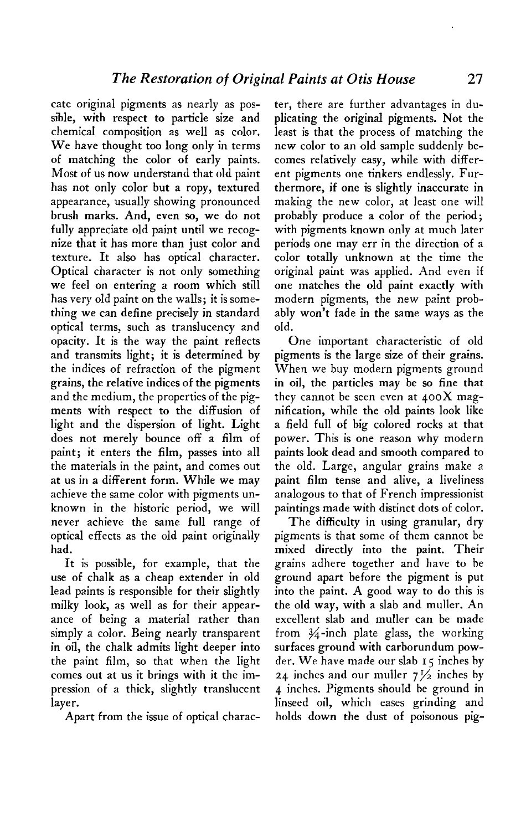**cate original pigments as nearly as possible, with respect to particle size and chemical composition as well as color. We have thought too long only in terms of matching the color of early paints. Most of us now understand that old paint has not only color but a ropy, textured appearance, usually showing pronounced brush marks. And, even so, we do not fully appreciate old paint until we recognize that it has more than just color and texture. It also has optical character. Optical character is not only something we feel on entering a room which still has very old paint on the walls; it is something we can define precisely in standard optical terms, such as translucency and opacity. It is the way the paint reflects and transmits light; it is determined by the indices of refraction of the pigment grains, the relative indices of the pigments and the medium, the properties of the pigments with respect to the diffusion of light and the dispersion of light. Light does not merely bounce off a film of paint; it enters the film, passes into all the materials in the paint, and comes out at us in a different form. While we may achieve the same color with pigments unknown in the historic period, we will never achieve the same full range of optical effects as the old paint originally had.** 

**It is possible, for example, that the use of chalk as a cheap extender in old lead paints is responsible for their slightly milky look, as well as for their appearance of being a material rather than simply a color. Being nearly transparent in oil, the chalk admits light deeper into the paint film, so that when the light comes out at us it brings with it the impression of a thick, slightly translucent layer.** 

**Apart from the issue of optical charac-**

**ter, there are further advantages in duplicating the original pigments. Not the least is that the process of matching the new color to an old sample suddenly becomes relatively easy, while with different pigments one tinkers endlessly. Furthermore, if one is slightly inaccurate in making the new color, at least one will probably produce a color of the period; with pigments known only at much later periods one may err in the direction of a color totally unknown at the time the original paint was applied. And even if one matches the old paint exactly with modern pigments, the new paint probably won't fade in the same ways as the old.** 

**One important characteristic of old pigments is the large size of their grains. When we buy modern pigments ground in oil, the particles may be so fine that they cannot be seen even at 400X magnification, while the old paints look like a field full of big colored rocks at that power. This is one reason why modern paints look dead and smooth compared to the old. Large, angular grains make a paint film tense and alive, a liveliness analogous to that of French impressionist paintings made with distinct dots of color.** 

**The difficulty in using granular, dry pigments is that some of them cannot be mixed directly into the paint. Their grains adhere together and have to be ground apart before the pigment is put into the paint. A good way to do this is the old way, with a slab and muller. An excellent slab and muller can be made**  from  $\frac{3}{4}$ -inch plate glass, the working **surfaces ground with Carborundum powder. We have made our slab 15 inches by 24 inches and our muller 7% inches by 4 inches. Pigments should be ground in linseed oil, which eases grinding and holds down the dust of poisonous pig-**